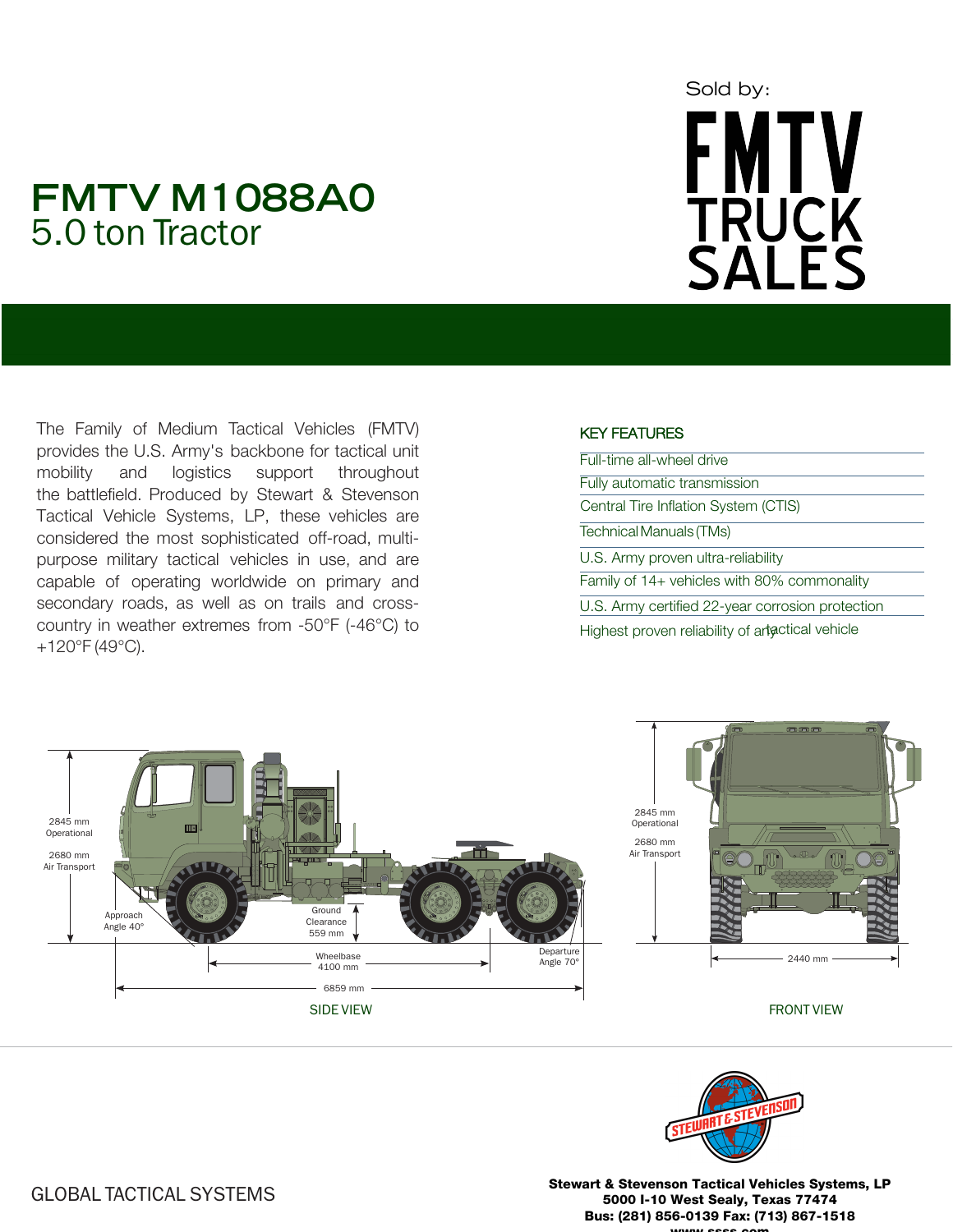## **FMTV M1088A0** 5.0 ton Tractor

# Sold by: <u>EMTV</u> **TRUCK<br>SALES**

The Family of Medium Tactical Vehicles (FMTV) provides the U.S. Army's backbone for tactical unit mobility and logistics support throughout the battlefield. Produced by Stewart & Stevenson Tactical Vehicle Systems, LP, these vehicles are considered the most sophisticated off-road, multipurpose military tactical vehicles in use, and are capable of operating worldwide on primary and secondary roads, as well as on trails and crosscountry in weather extremes from -50°F (-46°C) to +120°F (49°C).

## KEY FEATURES

| Full-time all-wheel drive                        |
|--------------------------------------------------|
| Fully automatic transmission                     |
| Central Tire Inflation System (CTIS)             |
| Technical Manuals (TMs)                          |
| U.S. Army proven ultra-reliability               |
| Family of 14+ vehicles with 80% commonality      |
| U.S. Army certified 22-year corrosion protection |
| Highest proven reliability of artactical vehicle |





Stewart & Stevenson Tactical Vehicles Systems, LP 5000 I-10 West Sealy, Texas 77474 Bus: (281) 856-0139 Fax: (713) 867-1518 www.coocoocom